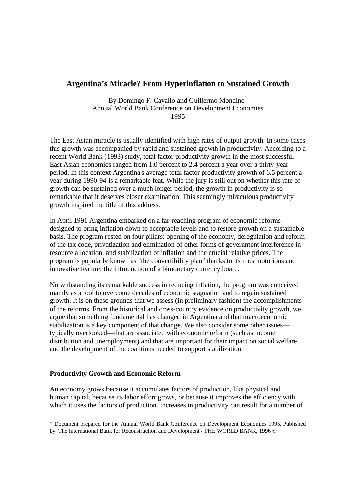# **Argentina's Miracle? From Hyperinflation to Sustained Growth**

By Domingo F. Cavallo and Guillermo Mondino $<sup>1</sup>$ </sup> Annual World Bank Conference on Development Economies 1995

The East Asian miracle is usually identified with high rates of output growth. In some cases this growth was accompanied by rapid and sustained growth in productivity. According to a recent World Bank (1993) study, total factor productivity growth in the most successful East Asian economies ranged from 1.0 percent to 2.4 percent a year over a thirty-year period. In this context Argentina's average total factor productivity growth of 6.5 percent a year during 1990-94 is a remarkable feat. While the jury is still out on whether this rate of growth can be sustained over a much longer period, the growth in productivity is so remarkable that it deserves closer examination. This seemingly miraculous productivity growth inspired the title of this address.

In April 1991 Argentina embarked on a far-reaching program of economic reforms designed to bring inflation down to acceptable levels and to restore growth on a sustainable basis. The program rested on four pillars: opening of the economy, deregulation and reform of the tax code, privatization and elimination of other forms of government interference in resource allocation, and stabilization of inflation and the crucial relative prices. The program is popularly known as "the convertibility plan" thanks to its most notorious and innovative feature: the introduction of a bimonetary currency board.

Notwithstanding its remarkable success in reducing inflation, the program was conceived mainly as a tool to overcome decades of economic stagnation and to regain sustained growth. It is on these grounds that we assess (in preliminary fashion) the accomplishments of the reforms. From the historical and cross-country evidence on productivity growth, we argüe that something fundamental has changed in Argentina and that macroeconomic stabilization is a key component of that change. We also consider some other issues typically overlooked—that are associated with economic reform (such as income distribution and unemployment) and that are important for their impact on social welfare and the development of the coalitions needed to support stabilization.

## **Productivity Growth and Economic Reform**

An economy grows because it accumulates factors of production, like physical and human capital, because its labor effort grows, or because it improves the efficiency with which it uses the factors of production. Increases in productivity can result for a number of

<sup>1</sup> Document prepared for the Annual World Bank Conference on Development Economies 1995. Published by The International Bank for Reconstruction and Development / THE WORLD BANK, 1996 ©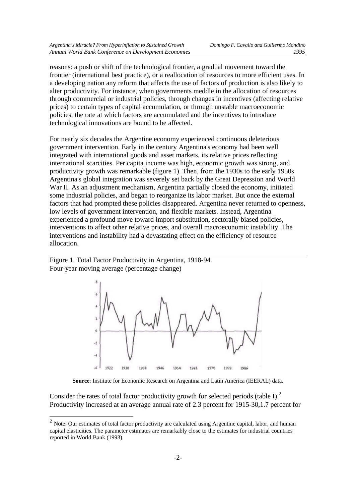reasons: a push or shift of the technological frontier, a gradual movement toward the frontier (international best practice), or a reallocation of resources to more efficient uses. In a developing nation any reform that affects the use of factors of production is also likely to alter productivity. For instance, when governments meddle in the allocation of resources through commercial or industrial policies, through changes in incentives (affecting relative prices) to certain types of capital accumulation, or through unstable macroeconomic policies, the rate at which factors are accumulated and the incentives to introduce technological innovations are bound to be affected.

For nearly six decades the Argentine economy experienced continuous deleterious government intervention. Early in the century Argentina's economy had been well integrated with international goods and asset markets, its relative prices reflecting international scarcities. Per capita income was high, economic growth was strong, and productivity growth was remarkable (figure 1). Then, from the 1930s to the early 1950s Argentina's global integration was severely set back by the Great Depression and World War II. As an adjustment mechanism, Argentina partially closed the economy, initiated some industrial policies, and began to reorganize its labor market. But once the external factors that had prompted these policies disappeared. Argentina never returned to openness, low levels of government intervention, and flexible markets. Instead, Argentina experienced a profound move toward import substitution, sectorally biased policies, interventions to affect other relative prices, and overall macroeconomic instability. The interventions and instability had a devastating effect on the efficiency of resource allocation.

Figure 1. Total Factor Productivity in Argentina, 1918-94 Four-year moving average (percentage change)



**Source**: Institute for Economic Research on Argentina and Latín América (IEERAL) data.

Consider the rates of total factor productivity growth for selected periods (table I).<sup>2</sup> Productivity increased at an average annual rate of 2.3 percent for 1915-30,1.7 percent for

 $\frac{1}{2}$ Note: Our estimates of total factor productivity are calculated using Argentine capital, labor, and human capital elasticities. The parameter estimates are remarkably close to the estimates for industrial countries reported in World Bank (1993).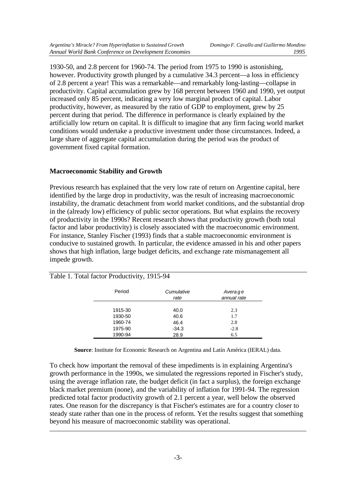1930-50, and 2.8 percent for 1960-74. The period from 1975 to 1990 is astonishing, however. Productivity growth plunged by a cumulative 34.3 percent—a loss in efficiency of 2.8 percent a year! This was a remarkable—and remarkably long-lasting—collapse in productivity. Capital accumulation grew by 168 percent between 1960 and 1990, yet output increased only 85 percent, indicating a very low marginal product of capital. Labor productivity, however, as measured by the ratio of GDP to employment, grew by 25 percent during that period. The difference in performance is clearly explained by the artificially low return on capital. It is difficult to imagine that any firm facing world market conditions would undertake a productive investment under those circumstances. Indeed, a large share of aggregate capital accumulation during the period was the product of government fixed capital formation.

## **Macroeconomic Stability and Growth**

Previous research has explained that the very low rate of return on Argentine capital, here identified by the large drop in productivity, was the result of increasing macroeconomic instability, the dramatic detachment from world market conditions, and the substantial drop in the (already low) efficiency of public sector operations. But what explains the recovery of productivity in the 1990s? Recent research shows that productivity growth (both total factor and labor productivity) is closely associated with the macroeconomic environment. For instance, Stanley Fischer (1993) finds that a stable macroeconomic environment is conducive to sustained growth. In particular, the evidence amassed in his and other papers shows that high inflation, large budget deficits, and exchange rate mismanagement all impede growth.

| Period  | Cumulative<br>rate | Avera g e<br>annual rate |
|---------|--------------------|--------------------------|
|         |                    |                          |
| 1915-30 | 40.0               | 2.3                      |
| 1930-50 | 40.6               | 1.7                      |
| 1960-74 | 46.4               | 2.8                      |
| 1975-90 | $-34.3$            | $-2.8$                   |
| 1990-94 | 28.9               | 6.5                      |

Table 1. Total factor Productivity, 1915-94

 $\overline{a}$ 

**Source**: Institute for Economic Research on Argentina and Latín América (IERAL) data.

To check how important the removal of these impediments is in explaining Argentina's growth performance in the 1990s, we simulated the regressions reported in Fischer's study, using the average inflation rate, the budget deficit (in fact a surplus), the foreign exchange black market premium (none), and the variability of inflation for 1991-94. The regression predicted total factor productivity growth of 2.1 percent a year, well below the observed rates. One reason for the discrepancy is that Fischer's estimates are for a country closer to steady state rather than one in the process of reform. Yet the results suggest that something beyond his measure of macroeconomic stability was operational.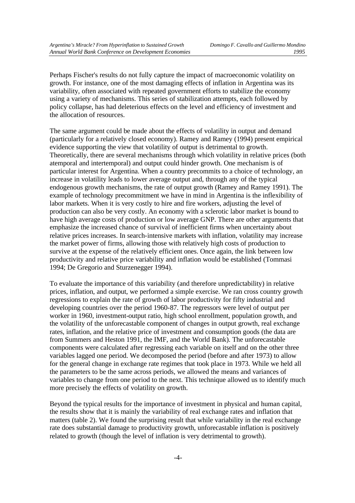Perhaps Fischer's results do not fully capture the impact of macroeconomic volatility on growth. For instance, one of the most damaging effects of inflation in Argentina was its variability, often associated with repeated government efforts to stabilize the economy using a variety of mechanisms. This series of stabilization attempts, each followed by policy collapse, has had deleterious effects on the level and efficiency of investment and the allocation of resources.

The same argument could be made about the effects of volatility in output and demand (particularly for a relatively closed economy). Ramey and Ramey (1994) present empirical evidence supporting the view that volatility of output is detrimental to growth. Theoretically, there are several mechanisms through which volatility in relative prices (both atemporal and intertemporal) and output could hinder growth. One mechanism is of particular interest for Argentina. When a country precommits to a choice of technology, an increase in volatility leads to lower average output and, through any of the typical endogenous growth mechanisms, the rate of output growth (Ramey and Ramey 1991). The example of technology precommitment we have in mind in Argentina is the inflexibility of labor markets. When it is very costly to hire and fire workers, adjusting the level of production can also be very costly. An economy with a sclerotic labor market is bound to have high average costs of production or low average GNP. There are other arguments that emphasize the increased chance of survival of inefficient firms when uncertainty about relative prices increases. In search-intensive markets with inflation, volatility may increase the market power of firms, allowing those with relatively high costs of production to survive at the expense of the relatively efficient ones. Once again, the link between low productivity and relative price variability and inflation would be established (Tommasi 1994; De Gregorio and Sturzenegger 1994).

To evaluate the importance of this variability (and therefore unpredictability) in relative prices, inflation, and output, we performed a simple exercise. We ran cross country growth regressions to explain the rate of growth of labor productivity for fifty industrial and developing countries over the period 1960-87. The regressors were level of output per worker in 1960, investment-output ratio, high school enrollment, population growth, and the volatility of the unforecastable component of changes in output growth, real exchange rates, inflation, and the relative price of investment and consumption goods (the data are from Summers and Heston 1991, the IMF, and the World Bank). The unforecastable components were calculated after regressing each variable on itself and on the other three variables lagged one period. We decomposed the period (before and after 1973) to allow for the general change in exchange rate regimes that took place in 1973. While we held all the parameters to be the same across periods, we allowed the means and variances of variables to change from one period to the next. This technique allowed us to identify much more precisely the effects of volatility on growth.

Beyond the typical results for the importance of investment in physical and human capital, the results show that it is mainly the variability of real exchange rates and inflation that matters (table 2). We found the surprising result that while variability in the real exchange rate does substantial damage to productivity growth, unforecastable inflation is positively related to growth (though the level of inflation is very detrimental to growth).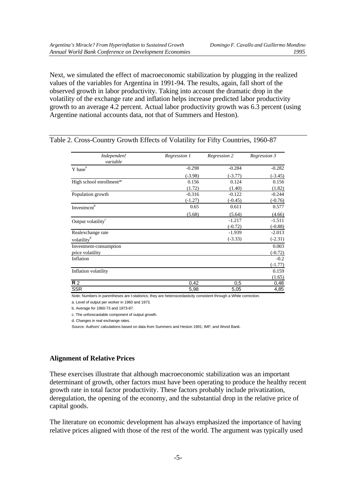Next, we simulated the effect of macroeconomic stabilization by plugging in the realized values of the variables for Argentina in 1991-94. The results, again, fall short of the observed growth in labor productivity. Taking into account the dramatic drop in the volatility of the exchange rate and inflation helps increase predicted labor productivity growth to an average 4.2 percent. Actual labor productivity growth was 6.3 percent (using Argentine national accounts data, not that of Summers and Heston).

| Independen!<br>variable        | Regression 1 | Regression 2 | Regression 3 |
|--------------------------------|--------------|--------------|--------------|
| $\mathbf Y$ base $\!{\rm a}$   | $-0.298$     | $-0.284$     | $-0.282$     |
|                                | $(-3.98)$    | $(-3.77)$    | $(-3.45)$    |
| High school enrollment*'       | 0.156        | 0.124        | 0.156        |
|                                | (1.72)       | (1.40)       | (1.82)       |
| Population growth              | $-0.316$     | $-0.122$     | $-0.244$     |
|                                | $(-1.27)$    | $(-0.45)$    | $(-0.76)$    |
| Investment <sup>b</sup>        | 0.65         | 0.611        | 0.577        |
|                                | (5.68)       | (5.64)       | (4.66)       |
| Output volatility <sup>c</sup> |              | $-1.217$     | $-1.511$     |
|                                |              | $(-0.72)$    | $(-0.88)$    |
| Realexchange rate              |              | $-1.939$     | $-2.013$     |
| volatility <sup>d</sup>        |              | $(-3.33)$    | $(-2.31)$    |
| Investment-consumption         |              |              | 0.003        |
| price volatility               |              |              | $(-0.72)$    |
| Inflation                      |              |              | $-0.2$       |
|                                |              |              | $(-1.77)$    |
| Inflation volatility           |              |              | 0.159        |
|                                |              |              | (1.65)       |
| R <sub>2</sub>                 | 0,42         | 0,5          | 0,48         |
| <b>SSR</b>                     | 5,98         | 5,05         | 4,85         |

#### Table 2. Cross-Country Growth Effects of Volatility for Fifty Countries, 1960-87

Note; Numbers in parentheses are t-statisrics; they are heteroscedasticity consistent through a White correction.

a. Level of output per worker in 1960 and 1973.

b. Average for 1960-73 and 1973-87.

c. The unforecastable component of output growth.

d. Changes in real exchange rates.

Source: Authors' calculations based on data from Summers and Heston 1991; IMF; and Worid Bank.

#### **Alignment of Relative Prices**

These exercises illustrate that although macroeconomic stabilization was an important determinant of growth, other factors must have been operating to produce the healthy recent growth rate in total factor productivity. These factors probably include privatization, deregulation, the opening of the economy, and the substantial drop in the relative price of capital goods.

The literature on economic development has always emphasized the importance of having relative prices aligned with those of the rest of the world. The argument was typically used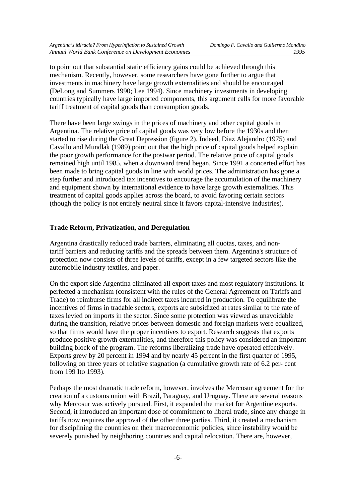to point out that substantial static efficiency gains could be achieved through this mechanism. Recently, however, some researchers have gone further to argue that investments in machinery have large growth externalities and should be encouraged (DeLong and Summers 1990; Lee 1994). Since machinery investments in developing countries typically have large imported components, this argument calls for more favorable tariff treatment of capital goods than consumption goods.

There have been large swings in the prices of machinery and other capital goods in Argentina. The relative price of capital goods was very low before the 1930s and then started to rise during the Great Depression (figure 2). Indeed, Diaz Alejandro (1975) and Cavallo and Mundlak (1989) point out that the high price of capital goods helped explain the poor growth performance for the postwar period. The relative price of capital goods remained high until 1985, when a downward trend began. Since 1991 a concerted effort has been made to bring capital goods in line with world prices. The administration has gone a step further and introduced tax incentives to encourage the accumulation of the machinery and equipment shown by international evidence to have large growth externalities. This treatment of capital goods applies across the board, to avoid favoring certain sectors (though the policy is not entirely neutral since it favors capital-intensive industries).

# **Trade Reform, Privatization, and Deregulation**

Argentina drastically reduced trade barriers, eliminating all quotas, taxes, and nontariff barriers and reducing tariffs and the spreads between them. Argentina's structure of protection now consists of three levels of tariffs, except in a few targeted sectors like the automobile industry textiles, and paper.

On the export side Argentina eliminated all export taxes and most regulatory institutions. It perfected a mechanism (consistent with the rules of the General Agreement on Tariffs and Trade) to reimburse firms for all indirect taxes incurred in production. To equilibrate the incentives of firms in tradable sectors, exports are subsidized at rates similar to the rate of taxes levied on imports in the sector. Since some protection was viewed as unavoidable during the transition, relative prices between domestic and foreign markets were equalized, so that firms would have the proper incentives to export. Research suggests that exports produce positive growth externalities, and therefore this policy was considered an important building block of the program. The reforms liberalizing trade have operated effectively. Exports grew by 20 percent in 1994 and by nearly 45 percent in the first quarter of 1995, following on three years of relative stagnation (a cumulative growth rate of 6.2 per- cent from 199 Ito 1993).

Perhaps the most dramatic trade reform, however, involves the Mercosur agreement for the creation of a customs union with Brazil, Paraguay, and Uruguay. There are several reasons why Mercosur was actively pursued. First, it expanded the market for Argentine exports. Second, it introduced an important dose of commitment to liberal trade, since any change in tariffs now requires the approval of the other three parties. Third, it created a mechanism for disciplining the countries on their macroeconomic policies, since instability would be severely punished by neighboring countries and capital relocation. There are, however,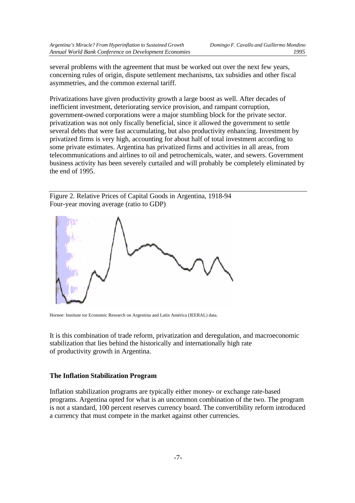several problems with the agreement that must be worked out over the next few years, concerning rules of origin, dispute settlement mechanisms, tax subsidies and other fiscal asymmetries, and the common external tariff.

Privatizations have given productivity growth a large boost as well. After decades of inefficient investment, deteriorating service provision, and rampant corruption, government-owned corporations were a major stumbling block for the private sector. privatization was not only fiscally beneficial, since it allowed the government to settle several debts that were fast accumulating, but also productivity enhancing. Investment by privatized firms is very high, accounting for about half of total investment according to some private estimates. Argentina has privatized firms and activities in all areas, from telecommunications and airlines to oil and petrochemicals, water, and sewers. Government business activity has been severely curtailed and will probably be completely eliminated by the end of 1995.

Figure 2. Relative Prices of Capital Goods in Argentina, 1918-94 Four-year moving average (ratio to GDP)



Hornee: Institute tor Economic Research on Argentina and Latín América (IEERAL) data.

It is this combination of trade reform, privatization and deregulation, and macroeconomic stabilization that lies behind the historically and internationally high rate of productivity growth in Argentina.

## **The Inflation Stabilization Program**

Inflation stabilization programs are typically either money- or exchange rate-based programs. Argentina opted for what is an uncommon combination of the two. The program is not a standard, 100 percent reserves currency board. The convertibility reform introduced a currency that must compete in the market against other currencies.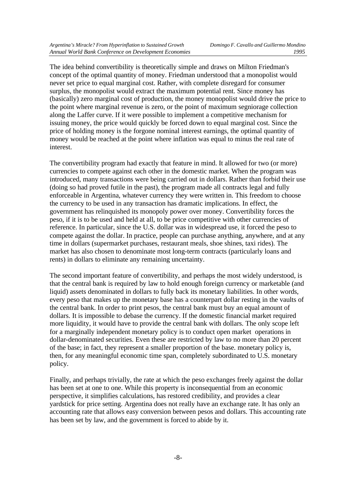The idea behind convertibility is theoretically simple and draws on Milton Friedman's concept of the optimal quantity of money. Friedman understood that a monopolist would never set price to equal marginal cost. Rather, with complete disregard for consumer surplus, the monopolist would extract the maximum potential rent. Since money has (basically) zero marginal cost of production, the money monopolist would drive the price to the point where marginal revenue is zero, or the point of maximum segniorage collection along the Laffer curve. If it were possible to implement a competitive mechanism for issuing money, the price would quickly be forced down to equal marginal cost. Since the price of holding money is the forgone nominal interest earnings, the optimal quantity of money would be reached at the point where inflation was equal to minus the real rate of interest.

The convertibility program had exactly that feature in mind. It allowed for two (or more) currencies to compete against each other in the domestic market. When the program was introduced, many transactions were being carried out in dollars. Rather than forbid their use (doing so had proved futile in the past), the program made all contracts legal and fully enforceable in Argentina, whatever currency they were written in. This freedom to choose the currency to be used in any transaction has dramatic implications. In effect, the government has relinquished its monopoly power over money. Convertibility forces the peso, if it is to be used and held at all, to be price competitive with other currencies of reference. In particular, since the U.S. dollar was in widespread use, it forced the peso to compete against the dollar. In practice, people can purchase anything, anywhere, and at any time in dollars (supermarket purchases, restaurant meals, shoe shines, taxi rides). The market has also chosen to denominate most long-term contracts (particularly loans and rents) in dollars to eliminate any remaining uncertainty.

The second important feature of convertibility, and perhaps the most widely understood, is that the central bank is required by law to hold enough foreign currency or marketable (and liquid) assets denominated in dollars to fully back its monetary liabilities. In other words, every peso that makes up the monetary base has a counterpart dollar resting in the vaults of the central bank. In order to print pesos, the central bank must buy an equal amount of dollars. It is impossible to debase the currency. If the domestic financial market required more liquidity, it would have to provide the central bank with dollars. The only scope left for a marginally independent monetary policy is to conduct open market operations in dollar-denominated securities. Even these are restricted by law to no more than 20 percent of the base; in fact, they represent a smaller proportion of the base. monetary policy is, then, for any meaningful economic time span, completely subordinated to U.S. monetary policy.

Finally, and perhaps trivially, the rate at which the peso exchanges freely against the dollar has been set at one to one. While this property is inconsequential from an economic perspective, it simplifies calculations, has restored credibility, and provides a clear yardstick for price setting. Argentina does not really have an exchange rate. It has only an accounting rate that allows easy conversion between pesos and dollars. This accounting rate has been set by law, and the government is forced to abide by it.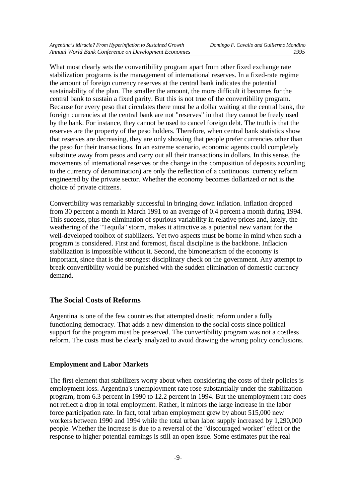What most clearly sets the convertibility program apart from other fixed exchange rate stabilization programs is the management of international reserves. In a fixed-rate regime the amount of foreign currency reserves at the central bank indicates the potential sustainability of the plan. The smaller the amount, the more difficult it becomes for the central bank to sustain a fixed parity. But this is not true of the convertibility program. Because for every peso that circulates there must be a dollar waiting at the central bank, the foreign currencies at the central bank are not "reserves" in that they cannot be freely used by the bank. For instance, they cannot be used to cancel foreign debt. The truth is that the reserves are the property of the peso holders. Therefore, when central bank statistics show that reserves are decreasing, they are only showing that people prefer currencies other than the peso for their transactions. In an extreme scenario, economic agents could completely substitute away from pesos and carry out all their transactions in dollars. In this sense, the movements of international reserves or the change in the composition of deposits according to the currency of denomination) are only the reflection of a continuous currency reform engineered by the private sector. Whether the economy becomes dollarized or not is the choice of private citizens.

Convertibility was remarkably successful in bringing down inflation. Inflation dropped from 30 percent a month in March 1991 to an average of 0.4 percent a month during 1994. This success, plus the elimination of spurious variability in relative prices and, lately, the weathering of the "Tequila" storm, makes it attractive as a potential new variant for the well-developed toolbox of stabilizers. Yet two aspects must be borne in mind when such a program is considered. First and foremost, fiscal discipline is the backbone. Inflacion stabilization is impossible without it. Second, the bimonetarism of the economy is important, since that is the strongest disciplinary check on the government. Any attempt to break convertibility would be punished with the sudden elimination of domestic currency demand.

# **The Social Costs of Reforms**

Argentina is one of the few countries that attempted drastic reform under a fully functioning democracy. That adds a new dimension to the social costs since political support for the program must be preserved. The convertibility program was not a costless reform. The costs must be clearly analyzed to avoid drawing the wrong policy conclusions.

## **Employment and Labor Markets**

The first element that stabilizers worry about when considering the costs of their policies is employment loss. Argentina's unemployment rate rose substantially under the stabilization program, from 6.3 percent in 1990 to 12.2 percent in 1994. But the unemployment rate does not reflect a drop in total employment. Rather, it mirrors the large increase in the labor force participation rate. In fact, total urban employment grew by about 515,000 new workers between 1990 and 1994 while the total urban labor supply increased by 1,290,000 people. Whether the increase is due to a reversal of the "discouraged worker" effect or the response to higher potential earnings is still an open issue. Some estimates put the real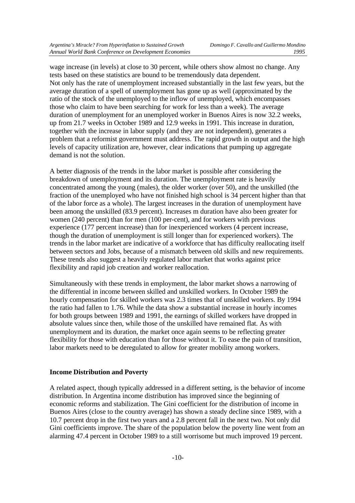wage increase (in levels) at close to 30 percent, while others show almost no change. Any tests based on these statistics are bound to be tremendously data dependent. Not only has the rate of unemployment increased substantially in the last few years, but the average duration of a spell of unemployment has gone up as well (approximated by the ratio of the stock of the unemployed to the inflow of unemployed, which encompasses those who claim to have been searching for work for less than a week). The average duration of unemployment for an unemployed worker in Buenos Aires is now 32.2 weeks, up from 21.7 weeks in October 1989 and 12.9 weeks in 1991. This increase in duration, together with the increase in labor supply (and they are not independent), generates a problem that a reformist government must address. The rapid growth in output and the high levels of capacity utilization are, however, clear indications that pumping up aggregate demand is not the solution.

A better diagnosis of the trends in the labor market is possible after considering the breakdown of unemployment and its duration. The unemployment rate is heavily concentrated among the young (males), the older worker (over 50), and the unskilled (the fraction of the unemployed who have not finished high school is 34 percent higher than that of the labor force as a whole). The largest increases in the duration of unemployment have been among the unskilled (83.9 percent). Increases m duration have also been greater for women (240 percent) than for men (100 per-cent), and for workers with previous experience (177 percent increase) than for inexperienced workers (4 percent increase, though the duration of unemployment is still longer than for experienced workers). The trends in the labor market are indicative of a workforce that has difficulty reallocating itself between sectors and Jobs, because of a mismatch between old skills and new requirements. These trends also suggest a heavily regulated labor market that works against price flexibility and rapid job creation and worker reallocation.

Simultaneously with these trends in employment, the labor market shows a narrowing of the differential in income between skilled and unskilled workers. In October 1989 the hourly compensation for skilled workers was 2.3 times that of unskilled workers. By 1994 the ratio had fallen to 1.76. While the data show a substantial increase in hourly incomes for both groups between 1989 and 1991, the earnings of skilled workers have dropped in absolute values since then, while those of the unskilled have remained flat. As with unemployment and its duration, the market once again seems to be reflecting greater flexibility for those with education than for those without it. To ease the pain of transition, labor markets need to be deregulated to allow for greater mobility among workers.

## **Income Distribution and Poverty**

A related aspect, though typically addressed in a different setting, is the behavior of income distribution. In Argentina income distribution has improved since the beginning of economic reforms and stabilization. The Gini coefficient for the distribution of income in Buenos Aires (close to the country average) has shown a steady decline since 1989, with a 10.7 percent drop in the first two years and a 2.8 percent fall in the next two. Not only did Gini coefficients improve. The share of the population below the poverty line went from an alarming 47.4 percent in October 1989 to a still worrisome but much improved 19 percent.